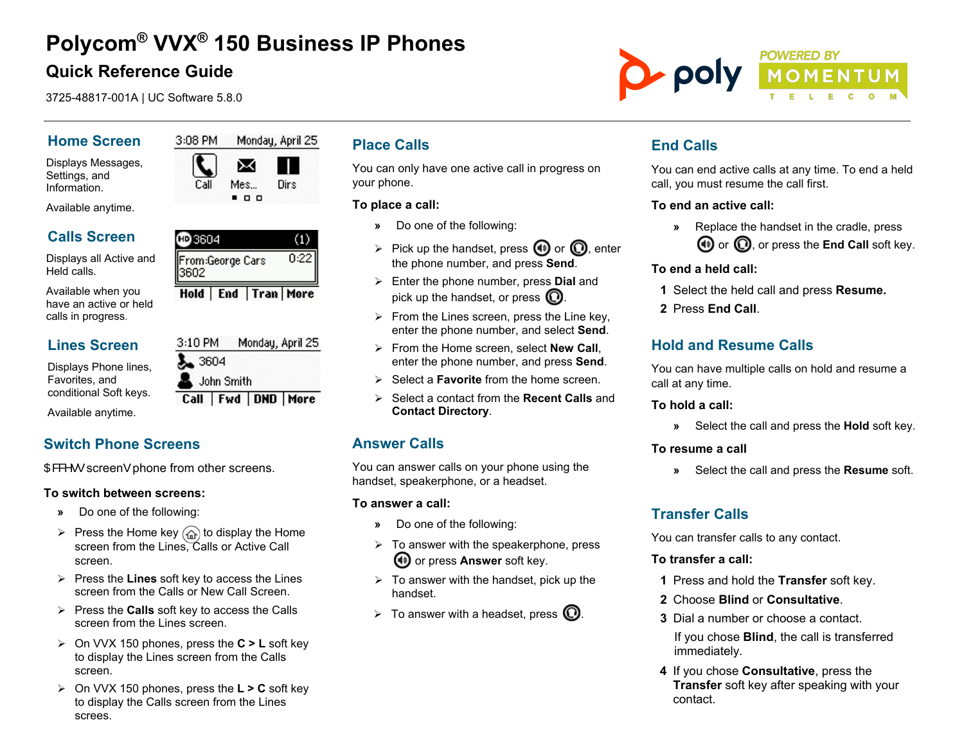# **Polycom® VVX® 150 Business IP Phones**

## **Quick Reference Guide**

3725-48817-001A | UC Software 5.8.0

3:08 PM

#### **Home Screen**

Displays Messages, Settings, and Information.

Available anytime.

## **Calls Screen**

Displays all Active and Held calls.

Available when you have an active or held calls in progress.

#### **Lines Screen**

Displays Phone lines, Favorites, and conditional Soft keys.

Available anytime.

## **Switch Phone Screens**

OB&  $\cdot \cdot$  screen• phone from other screens.

#### **To switch between screens:**

- **»** Do one of the following:
- $\triangleright$  Press the Home key  $\binom{n}{w}$  to display the Home screen from the Lines, Calls or Active Call screen.
- $\triangleright$  Press the **Lines** soft key to access the Lines screen from the Calls or New Call Screen.
- Press the **Calls** soft key to access the Calls screen from the Lines screen.
- On VVX 150 phones, press the **C > L** soft key to display the Lines screen from the Calls screen.
- On VVX 150 phones, press the **L > C** soft key to display the Calls screen from the Lines screes.

## **Place Calls**

You can only have one active call in progress on your phone.

#### **To place a call:**

- **»** Do one of the following:
- $\triangleright$  Pick up the handset, press  $\bigcirc$  or  $\bigcirc$ , enter the phone number, and press **Send**.
- Enter the phone number, press **Dial** and pick up the handset, or press  $\mathbb O$ .
- $\triangleright$  From the Lines screen, press the Line key. enter the phone number, and select **Send**.
- From the Home screen, select **New Call**, enter the phone number, and press **Send**.
- Select a **Favorite** from the home screen.
- Select a contact from the **Recent Calls** and **Contact Directory**.

## **Answer Calls**

You can answer calls on your phone using the handset, speakerphone, or a headset.

#### **To answer a call:**

- **»** Do one of the following:
- $\triangleright$  To answer with the speakerphone, press or press **Answer** soft key.
- $\triangleright$  To answer with the handset, pick up the handset.
- $\triangleright$  To answer with a headset, press  $\mathbb{Q}$ .

## **End Calls**

You can end active calls at any time. To end a held call, you must resume the call first.

#### **To end an active call:**

**»** Replace the handset in the cradle, press **(1)** or  $\Omega$ , or press the **End Call** soft key.

#### **To end a held call:**

- **1** Select the held call and press **Resume.**
- **2** Press **End Call**.

## **Hold and Resume Calls**

You can have multiple calls on hold and resume a call at any time.

#### **To hold a call:**

**»** Select the call and press the **Hold** soft key.

#### **To resume a call**

**»** Select the call and press the **Resume** soft.

## **Transfer Calls**

You can transfer calls to any contact.

#### **To transfer a call:**

- **1** Press and hold the **Transfer** soft key.
- **2** Choose **Blind** or **Consultative**.
- **3** Dial a number or choose a contact. If you chose **Blind**, the call is transferred immediately.
- **4** If you chose **Consultative**, press the **Transfer** soft key after speaking with your contact.

 $\blacksquare$ @ 3604  $(1)$  $0:22$ 

⊠ ш Mes... Dirs

Monday, April 25



## From:George Cars 3602 Hold | End | Tran | More